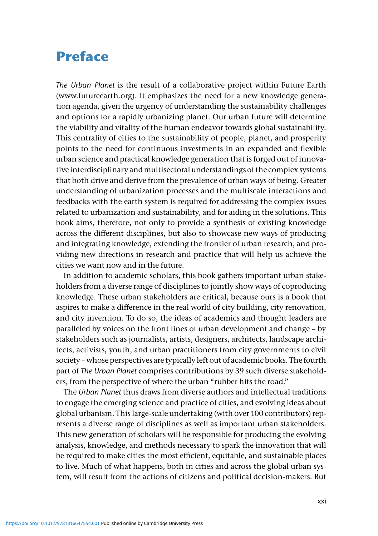# **Preface**

*The Urban Planet* is the result of a collaborative project within Future Earth (www.futureearth.org). It emphasizes the need for a new knowledge generation agenda, given the urgency of understanding the sustainability challenges and options for a rapidly urbanizing planet. Our urban future will determine the viability and vitality of the human endeavor towards global sustainability. This centrality of cities to the sustainability of people, planet, and prosperity points to the need for continuous investments in an expanded and flexible urban science and practical knowledge generation that is forged out of innovative interdisciplinary and multisectoral understandings of the complex systems that both drive and derive from the prevalence of urban ways of being. Greater understanding of urbanization processes and the multiscale interactions and feedbacks with the earth system is required for addressing the complex issues related to urbanization and sustainability, and for aiding in the solutions. This book aims, therefore, not only to provide a synthesis of existing knowledge across the different disciplines, but also to showcase new ways of producing and integrating knowledge, extending the frontier of urban research, and providing new directions in research and practice that will help us achieve the cities we want now and in the future.

In addition to academic scholars, this book gathers important urban stakeholders from a diverse range of disciplines to jointly show ways of coproducing knowledge. These urban stakeholders are critical, because ours is a book that aspires to make a difference in the real world of city building, city renovation, and city invention. To do so, the ideas of academics and thought leaders are paralleled by voices on the front lines of urban development and change – by stakeholders such as journalists, artists, designers, architects, landscape architects, activists, youth, and urban practitioners from city governments to civil society – whose perspectives are typically left out of academic books. The fourth part of *The Urban Planet* comprises contributions by 39 such diverse stakeholders, from the perspective of where the urban "rubber hits the road."

The *Urban Planet* thus draws from diverse authors and intellectual traditions to engage the emerging science and practice of cities, and evolving ideas about global urbanism. This large-scale undertaking (with over 100 contributors) represents a diverse range of disciplines as well as important urban stakeholders. This new generation of scholars will be responsible for producing the evolving analysis, knowledge, and methods necessary to spark the innovation that will be required to make cities the most efficient, equitable, and sustainable places to live. Much of what happens, both in cities and across the global urban system, will result from the actions of citizens and political decision-makers. But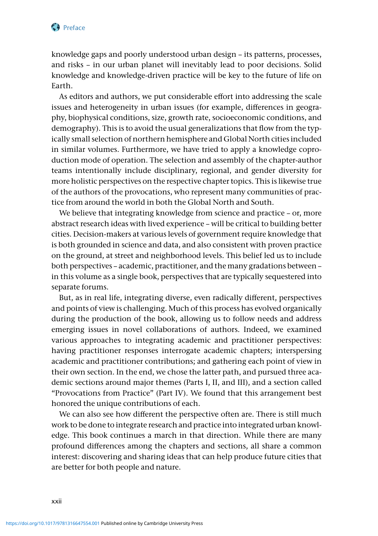knowledge gaps and poorly understood urban design – its patterns, processes, and risks – in our urban planet will inevitably lead to poor decisions. Solid knowledge and knowledge-driven practice will be key to the future of life on Earth.

As editors and authors, we put considerable effort into addressing the scale issues and heterogeneity in urban issues (for example, differences in geography, biophysical conditions, size, growth rate, socioeconomic conditions, and demography). This is to avoid the usual generalizations that flow from the typically small selection of northern hemisphere and Global North cities included in similar volumes. Furthermore, we have tried to apply a knowledge coproduction mode of operation. The selection and assembly of the chapter-author teams intentionally include disciplinary, regional, and gender diversity for more holistic perspectives on the respective chapter topics. This is likewise true of the authors of the provocations, who represent many communities of practice from around the world in both the Global North and South.

We believe that integrating knowledge from science and practice – or, more abstract research ideas with lived experience – will be critical to building better cities. Decision-makers at various levels of government require knowledge that is both grounded in science and data, and also consistent with proven practice on the ground, at street and neighborhood levels. This belief led us to include both perspectives – academic, practitioner, and the many gradations between – in this volume as a single book, perspectives that are typically sequestered into separate forums.

But, as in real life, integrating diverse, even radically different, perspectives and points of view is challenging. Much of this process has evolved organically during the production of the book, allowing us to follow needs and address emerging issues in novel collaborations of authors. Indeed, we examined various approaches to integrating academic and practitioner perspectives: having practitioner responses interrogate academic chapters; interspersing academic and practitioner contributions; and gathering each point of view in their own section. In the end, we chose the latter path, and pursued three academic sections around major themes (Parts I, II, and III), and a section called "Provocations from Practice" (Part IV). We found that this arrangement best honored the unique contributions of each.

We can also see how different the perspective often are. There is still much work to be done to integrate research and practice into integrated urban knowledge. This book continues a march in that direction. While there are many profound differences among the chapters and sections, all share a common interest: discovering and sharing ideas that can help produce future cities that are better for both people and nature.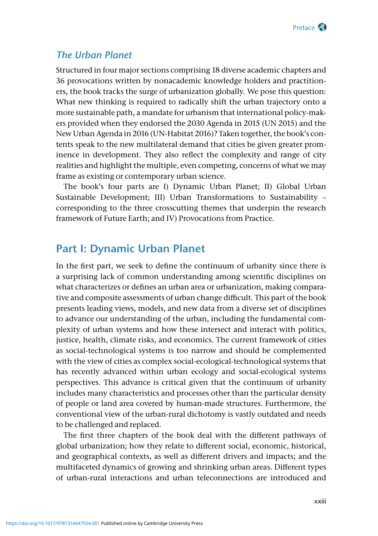

### *The Urban Planet*

Structured in four major sections comprising 18 diverse academic chapters and 36 provocations written by nonacademic knowledge holders and practitioners, the book tracks the surge of urbanization globally. We pose this question: What new thinking is required to radically shift the urban trajectory onto a more sustainable path, a mandate for urbanism that international policy-makers provided when they endorsed the 2030 Agenda in 2015 (UN 2015) and the New Urban Agenda in 2016 (UN-Habitat 2016)? Taken together, the book's contents speak to the new multilateral demand that cities be given greater prominence in development. They also reflect the complexity and range of city realities and highlight the multiple, even competing, concerns of what we may frame as existing or contemporary urban science.

The book's four parts are I) Dynamic Urban Planet; II) Global Urban Sustainable Development; III) Urban Transformations to Sustainability – corresponding to the three crosscutting themes that underpin the research framework of Future Earth; and IV) Provocations from Practice.

### **Part I: Dynamic Urban Planet**

In the first part, we seek to define the continuum of urbanity since there is a surprising lack of common understanding among scientific disciplines on what characterizes or defines an urban area or urbanization, making comparative and composite assessments of urban change difficult. This part of the book presents leading views, models, and new data from a diverse set of disciplines to advance our understanding of the urban, including the fundamental complexity of urban systems and how these intersect and interact with politics, justice, health, climate risks, and economics. The current framework of cities as social-technological systems is too narrow and should be complemented with the view of cities as complex social-ecological-technological systems that has recently advanced within urban ecology and social-ecological systems perspectives. This advance is critical given that the continuum of urbanity includes many characteristics and processes other than the particular density of people or land area covered by human-made structures. Furthermore, the conventional view of the urban-rural dichotomy is vastly outdated and needs to be challenged and replaced.

The first three chapters of the book deal with the different pathways of global urbanization; how they relate to different social, economic, historical, and geographical contexts, as well as different drivers and impacts; and the multifaceted dynamics of growing and shrinking urban areas. Different types of urban-rural interactions and urban teleconnections are introduced and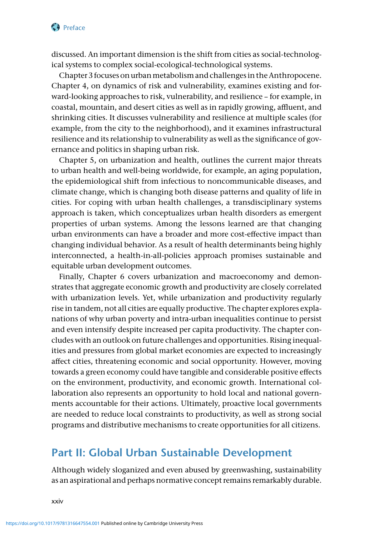discussed. An important dimension is the shift from cities as social-technological systems to complex social-ecological-technological systems.

Chapter 3 focuses on urban metabolism and challenges in the Anthropocene. Chapter 4, on dynamics of risk and vulnerability, examines existing and forward-looking approaches to risk, vulnerability, and resilience – for example, in coastal, mountain, and desert cities as well as in rapidly growing, affluent, and shrinking cities. It discusses vulnerability and resilience at multiple scales (for example, from the city to the neighborhood), and it examines infrastructural resilience and its relationship to vulnerability as well as the significance of governance and politics in shaping urban risk.

Chapter 5, on urbanization and health, outlines the current major threats to urban health and well-being worldwide, for example, an aging population, the epidemiological shift from infectious to noncommunicable diseases, and climate change, which is changing both disease patterns and quality of life in cities. For coping with urban health challenges, a transdisciplinary systems approach is taken, which conceptualizes urban health disorders as emergent properties of urban systems. Among the lessons learned are that changing urban environments can have a broader and more cost-effective impact than changing individual behavior. As a result of health determinants being highly interconnected, a health-in-all-policies approach promises sustainable and equitable urban development outcomes.

Finally, Chapter 6 covers urbanization and macroeconomy and demonstrates that aggregate economic growth and productivity are closely correlated with urbanization levels. Yet, while urbanization and productivity regularly rise in tandem, not all cities are equally productive. The chapter explores explanations of why urban poverty and intra-urban inequalities continue to persist and even intensify despite increased per capita productivity. The chapter concludes with an outlook on future challenges and opportunities. Rising inequalities and pressures from global market economies are expected to increasingly affect cities, threatening economic and social opportunity. However, moving towards a green economy could have tangible and considerable positive effects on the environment, productivity, and economic growth. International collaboration also represents an opportunity to hold local and national governments accountable for their actions. Ultimately, proactive local governments are needed to reduce local constraints to productivity, as well as strong social programs and distributive mechanisms to create opportunities for all citizens.

## **Part II: Global Urban Sustainable Development**

Although widely sloganized and even abused by greenwashing, sustainability as an aspirational and perhaps normative concept remains remarkably durable.

xxiv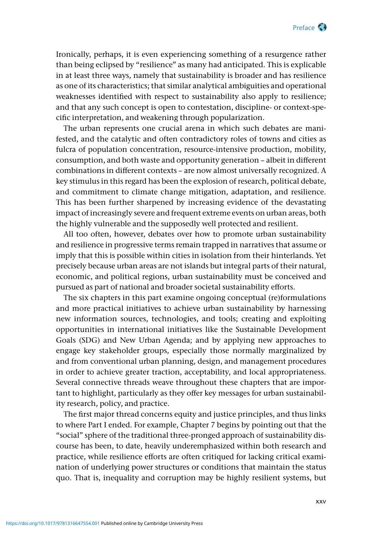Ironically, perhaps, it is even experiencing something of a resurgence rather than being eclipsed by "resilience" as many had anticipated. This is explicable in at least three ways, namely that sustainability is broader and has resilience as one of its characteristics; that similar analytical ambiguities and operational weaknesses identified with respect to sustainability also apply to resilience; and that any such concept is open to contestation, discipline- or context-specific interpretation, and weakening through popularization.

The urban represents one crucial arena in which such debates are manifested, and the catalytic and often contradictory roles of towns and cities as fulcra of population concentration, resource-intensive production, mobility, consumption, and both waste and opportunity generation – albeit in different combinations in different contexts – are now almost universally recognized. A key stimulus in this regard has been the explosion of research, political debate, and commitment to climate change mitigation, adaptation, and resilience. This has been further sharpened by increasing evidence of the devastating impact of increasingly severe and frequent extreme events on urban areas, both the highly vulnerable and the supposedly well protected and resilient.

All too often, however, debates over how to promote urban sustainability and resilience in progressive terms remain trapped in narratives that assume or imply that this is possible within cities in isolation from their hinterlands. Yet precisely because urban areas are not islands but integral parts of their natural, economic, and political regions, urban sustainability must be conceived and pursued as part of national and broader societal sustainability efforts.

The six chapters in this part examine ongoing conceptual (re)formulations and more practical initiatives to achieve urban sustainability by harnessing new information sources, technologies, and tools; creating and exploiting opportunities in international initiatives like the Sustainable Development Goals (SDG) and New Urban Agenda; and by applying new approaches to engage key stakeholder groups, especially those normally marginalized by and from conventional urban planning, design, and management procedures in order to achieve greater traction, acceptability, and local appropriateness. Several connective threads weave throughout these chapters that are important to highlight, particularly as they offer key messages for urban sustainability research, policy, and practice.

The first major thread concerns equity and justice principles, and thus links to where Part I ended. For example, Chapter 7 begins by pointing out that the "social" sphere of the traditional three-pronged approach of sustainability discourse has been, to date, heavily underemphasized within both research and practice, while resilience efforts are often critiqued for lacking critical examination of underlying power structures or conditions that maintain the status quo. That is, inequality and corruption may be highly resilient systems, but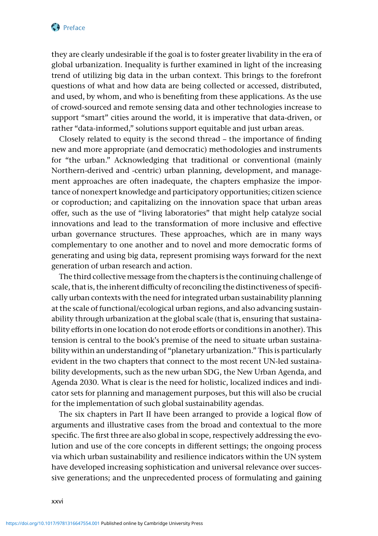they are clearly undesirable if the goal is to foster greater livability in the era of global urbanization. Inequality is further examined in light of the increasing trend of utilizing big data in the urban context. This brings to the forefront questions of what and how data are being collected or accessed, distributed, and used, by whom, and who is benefiting from these applications. As the use of crowd-sourced and remote sensing data and other technologies increase to support "smart" cities around the world, it is imperative that data-driven, or rather "data-informed," solutions support equitable and just urban areas.

Closely related to equity is the second thread – the importance of finding new and more appropriate (and democratic) methodologies and instruments for "the urban." Acknowledging that traditional or conventional (mainly Northern-derived and -centric) urban planning, development, and management approaches are often inadequate, the chapters emphasize the importance of nonexpert knowledge and participatory opportunities; citizen science or coproduction; and capitalizing on the innovation space that urban areas offer, such as the use of "living laboratories" that might help catalyze social innovations and lead to the transformation of more inclusive and effective urban governance structures. These approaches, which are in many ways complementary to one another and to novel and more democratic forms of generating and using big data, represent promising ways forward for the next generation of urban research and action.

The third collective message from the chapters is the continuing challenge of scale, that is, the inherent difficulty of reconciling the distinctiveness of specifically urban contexts with the need for integrated urban sustainability planning at the scale of functional/ecological urban regions, and also advancing sustainability through urbanization at the global scale (that is, ensuring that sustainability efforts in one location do not erode efforts or conditions in another). This tension is central to the book's premise of the need to situate urban sustainability within an understanding of "planetary urbanization." This is particularly evident in the two chapters that connect to the most recent UN-led sustainability developments, such as the new urban SDG, the New Urban Agenda, and Agenda 2030. What is clear is the need for holistic, localized indices and indicator sets for planning and management purposes, but this will also be crucial for the implementation of such global sustainability agendas.

The six chapters in Part II have been arranged to provide a logical flow of arguments and illustrative cases from the broad and contextual to the more specific. The first three are also global in scope, respectively addressing the evolution and use of the core concepts in different settings; the ongoing process via which urban sustainability and resilience indicators within the UN system have developed increasing sophistication and universal relevance over successive generations; and the unprecedented process of formulating and gaining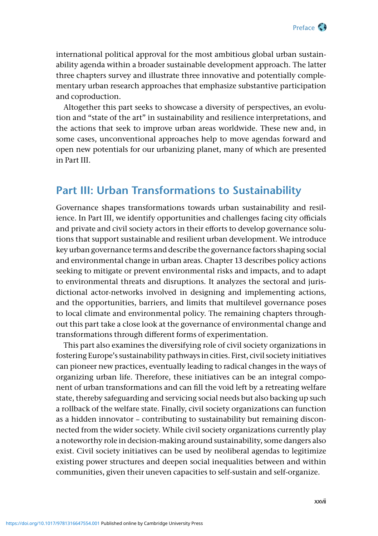international political approval for the most ambitious global urban sustainability agenda within a broader sustainable development approach. The latter three chapters survey and illustrate three innovative and potentially complementary urban research approaches that emphasize substantive participation and coproduction.

Altogether this part seeks to showcase a diversity of perspectives, an evolution and "state of the art" in sustainability and resilience interpretations, and the actions that seek to improve urban areas worldwide. These new and, in some cases, unconventional approaches help to move agendas forward and open new potentials for our urbanizing planet, many of which are presented in Part III.

## **Part III: Urban Transformations to Sustainability**

Governance shapes transformations towards urban sustainability and resilience. In Part III, we identify opportunities and challenges facing city officials and private and civil society actors in their efforts to develop governance solutions that support sustainable and resilient urban development. We introduce key urban governance terms and describe the governance factors shaping social and environmental change in urban areas. Chapter 13 describes policy actions seeking to mitigate or prevent environmental risks and impacts, and to adapt to environmental threats and disruptions. It analyzes the sectoral and jurisdictional actor-networks involved in designing and implementing actions, and the opportunities, barriers, and limits that multilevel governance poses to local climate and environmental policy. The remaining chapters throughout this part take a close look at the governance of environmental change and transformations through different forms of experimentation.

This part also examines the diversifying role of civil society organizations in fostering Europe's sustainability pathways in cities. First, civil society initiatives can pioneer new practices, eventually leading to radical changes in the ways of organizing urban life. Therefore, these initiatives can be an integral component of urban transformations and can fill the void left by a retreating welfare state, thereby safeguarding and servicing social needs but also backing up such a rollback of the welfare state. Finally, civil society organizations can function as a hidden innovator – contributing to sustainability but remaining disconnected from the wider society. While civil society organizations currently play a noteworthy role in decision-making around sustainability, some dangers also exist. Civil society initiatives can be used by neoliberal agendas to legitimize existing power structures and deepen social inequalities between and within communities, given their uneven capacities to self-sustain and self-organize.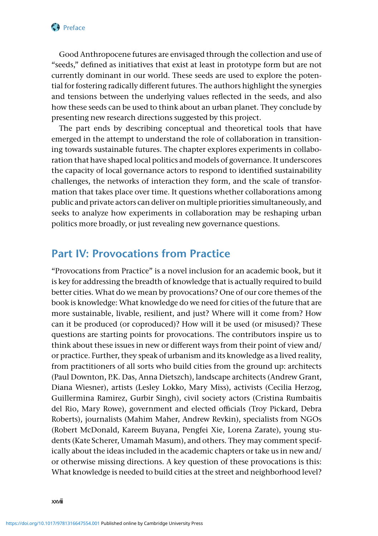Good Anthropocene futures are envisaged through the collection and use of "seeds," defined as initiatives that exist at least in prototype form but are not currently dominant in our world. These seeds are used to explore the potential for fostering radically different futures. The authors highlight the synergies and tensions between the underlying values reflected in the seeds, and also how these seeds can be used to think about an urban planet. They conclude by presenting new research directions suggested by this project.

The part ends by describing conceptual and theoretical tools that have emerged in the attempt to understand the role of collaboration in transitioning towards sustainable futures. The chapter explores experiments in collaboration that have shaped local politics and models of governance. It underscores the capacity of local governance actors to respond to identified sustainability challenges, the networks of interaction they form, and the scale of transformation that takes place over time. It questions whether collaborations among public and private actors can deliver on multiple priorities simultaneously, and seeks to analyze how experiments in collaboration may be reshaping urban politics more broadly, or just revealing new governance questions.

## **Part IV: Provocations from Practice**

"Provocations from Practice" is a novel inclusion for an academic book, but it is key for addressing the breadth of knowledge that is actually required to build better cities. What do we mean by provocations? One of our core themes of the book is knowledge: What knowledge do we need for cities of the future that are more sustainable, livable, resilient, and just? Where will it come from? How can it be produced (or coproduced)? How will it be used (or misused)? These questions are starting points for provocations. The contributors inspire us to think about these issues in new or different ways from their point of view and/ or practice. Further, they speak of urbanism and its knowledge as a lived reality, from practitioners of all sorts who build cities from the ground up: architects (Paul Downton, P.K. Das, Anna Dietszch), landscape architects (Andrew Grant, Diana Wiesner), artists (Lesley Lokko, Mary Miss), activists (Cecilia Herzog, Guillermina Ramirez, Gurbir Singh), civil society actors (Cristina Rumbaitis del Rio, Mary Rowe), government and elected officials (Troy Pickard, Debra Roberts), journalists (Mahim Maher, Andrew Revkin), specialists from NGOs (Robert McDonald, Kareem Buyana, Pengfei Xie, Lorena Zarate), young students (Kate Scherer, Umamah Masum), and others. They may comment specifically about the ideas included in the academic chapters or take us in new and/ or otherwise missing directions. A key question of these provocations is this: What knowledge is needed to build cities at the street and neighborhood level?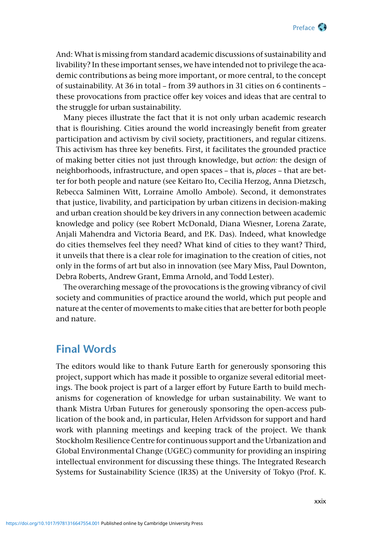

And: What is missing from standard academic discussions of sustainability and livability? In these important senses, we have intended not to privilege the academic contributions as being more important, or more central, to the concept of sustainability. At 36 in total – from 39 authors in 31 cities on 6 continents – these provocations from practice offer key voices and ideas that are central to the struggle for urban sustainability.

Many pieces illustrate the fact that it is not only urban academic research that is flourishing. Cities around the world increasingly benefit from greater participation and activism by civil society, practitioners, and regular citizens. This activism has three key benefits. First, it facilitates the grounded practice of making better cities not just through knowledge, but *action:* the design of neighborhoods, infrastructure, and open spaces – that is, *places* – that are better for both people and nature (see Keitaro Ito, Cecilia Herzog, Anna Dietzsch, Rebecca Salminen Witt, Lorraine Amollo Ambole). Second, it demonstrates that justice, livability, and participation by urban citizens in decision-making and urban creation should be key drivers in any connection between academic knowledge and policy (see Robert McDonald, Diana Wiesner, Lorena Zarate, Anjali Mahendra and Victoria Beard, and P.K. Das). Indeed, what knowledge do cities themselves feel they need? What kind of cities to they want? Third, it unveils that there is a clear role for imagination to the creation of cities, not only in the forms of art but also in innovation (see Mary Miss, Paul Downton, Debra Roberts, Andrew Grant, Emma Arnold, and Todd Lester).

The overarching message of the provocations is the growing vibrancy of civil society and communities of practice around the world, which put people and nature at the center of movements to make cities that are better for both people and nature.

### **Final Words**

The editors would like to thank Future Earth for generously sponsoring this project, support which has made it possible to organize several editorial meetings. The book project is part of a larger effort by Future Earth to build mechanisms for cogeneration of knowledge for urban sustainability. We want to thank Mistra Urban Futures for generously sponsoring the open-access publication of the book and, in particular, Helen Arfvidsson for support and hard work with planning meetings and keeping track of the project. We thank Stockholm Resilience Centre for continuous support and the Urbanization and Global Environmental Change (UGEC) community for providing an inspiring intellectual environment for discussing these things. The Integrated Research Systems for Sustainability Science (IR3S) at the University of Tokyo (Prof. K.